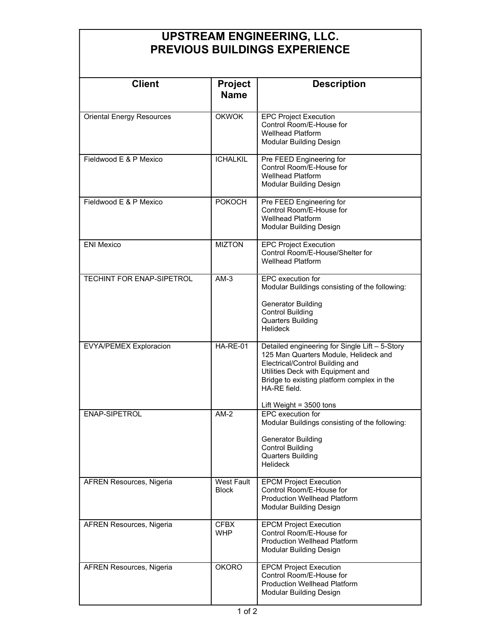## UPSTREAM ENGINEERING, LLC. PREVIOUS BUILDINGS EXPERIENCE

| <b>Client</b>                    | Project<br><b>Name</b>            | <b>Description</b>                                                                                                                                                                                                                                         |
|----------------------------------|-----------------------------------|------------------------------------------------------------------------------------------------------------------------------------------------------------------------------------------------------------------------------------------------------------|
| <b>Oriental Energy Resources</b> | <b>OKWOK</b>                      | <b>EPC Project Execution</b><br>Control Room/E-House for<br><b>Wellhead Platform</b><br>Modular Building Design                                                                                                                                            |
| Fieldwood E & P Mexico           | <b>ICHALKIL</b>                   | Pre FEED Engineering for<br>Control Room/E-House for<br><b>Wellhead Platform</b><br>Modular Building Design                                                                                                                                                |
| Fieldwood E & P Mexico           | <b>POKOCH</b>                     | Pre FEED Engineering for<br>Control Room/E-House for<br><b>Wellhead Platform</b><br>Modular Building Design                                                                                                                                                |
| <b>ENI Mexico</b>                | <b>MIZTON</b>                     | <b>EPC Project Execution</b><br>Control Room/E-House/Shelter for<br><b>Wellhead Platform</b>                                                                                                                                                               |
| <b>TECHINT FOR ENAP-SIPETROL</b> | $AM-3$                            | EPC execution for<br>Modular Buildings consisting of the following:<br><b>Generator Building</b><br><b>Control Building</b><br><b>Quarters Building</b><br><b>Helideck</b>                                                                                 |
| <b>EVYA/PEMEX Exploracion</b>    | <b>HA-RE-01</b>                   | Detailed engineering for Single Lift - 5-Story<br>125 Man Quarters Module, Helideck and<br>Electrical/Control Building and<br>Utilities Deck with Equipment and<br>Bridge to existing platform complex in the<br>HA-RE field.<br>Lift Weight = $3500$ tons |
| ENAP-SIPETROL                    | $AM-2$                            | EPC execution for<br>Modular Buildings consisting of the following:<br><b>Generator Building</b><br><b>Control Building</b><br><b>Quarters Building</b><br><b>Helideck</b>                                                                                 |
| AFREN Resources, Nigeria         | <b>West Fault</b><br><b>Block</b> | <b>EPCM Project Execution</b><br>Control Room/F-House for<br><b>Production Wellhead Platform</b><br>Modular Building Design                                                                                                                                |
| AFREN Resources, Nigeria         | <b>CFBX</b><br><b>WHP</b>         | <b>EPCM Project Execution</b><br>Control Room/E-House for<br><b>Production Wellhead Platform</b><br>Modular Building Design                                                                                                                                |
| <b>AFREN Resources, Nigeria</b>  | <b>OKORO</b>                      | <b>EPCM Project Execution</b><br>Control Room/E-House for<br><b>Production Wellhead Platform</b><br>Modular Building Design                                                                                                                                |